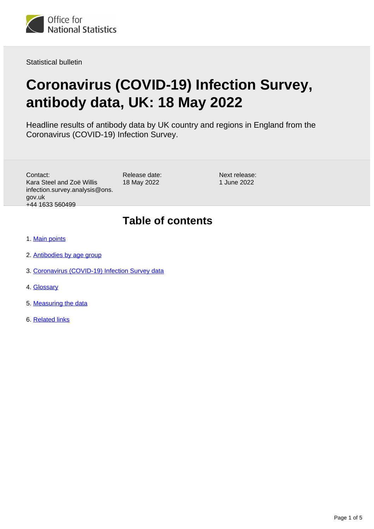

Statistical bulletin

# **Coronavirus (COVID-19) Infection Survey, antibody data, UK: 18 May 2022**

Headline results of antibody data by UK country and regions in England from the Coronavirus (COVID-19) Infection Survey.

| Contact:                       |
|--------------------------------|
| Kara Steel and Zoë Willis      |
| infection.survey.analysis@ons. |
| gov.uk                         |
| +44 1633 560499                |

Release date: 18 May 2022

Next release: 1 June 2022

### **Table of contents**

- 1. [Main points](#page-1-0)
- 2. [Antibodies by age group](#page-1-1)
- 3. [Coronavirus \(COVID-19\) Infection Survey data](#page-2-0)
- 4. [Glossary](#page-2-1)
- 5. [Measuring the data](#page-2-2)
- 6. [Related links](#page-4-0)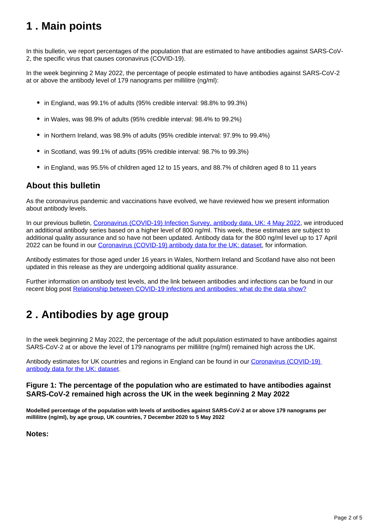## <span id="page-1-0"></span>**1 . Main points**

In this bulletin, we report percentages of the population that are estimated to have antibodies against SARS-CoV-2, the specific virus that causes coronavirus (COVID-19).

In the week beginning 2 May 2022, the percentage of people estimated to have antibodies against SARS-CoV-2 at or above the antibody level of 179 nanograms per millilitre (ng/ml):

- in England, was 99.1% of adults (95% credible interval: 98.8% to 99.3%)
- in Wales, was 98.9% of adults (95% credible interval: 98.4% to 99.2%)
- in Northern Ireland, was 98.9% of adults (95% credible interval: 97.9% to 99.4%)
- in Scotland, was 99.1% of adults (95% credible interval: 98.7% to 99.3%)
- in England, was 95.5% of children aged 12 to 15 years, and 88.7% of children aged 8 to 11 years

#### **About this bulletin**

As the coronavirus pandemic and vaccinations have evolved, we have reviewed how we present information about antibody levels.

In our previous bulletin, [Coronavirus \(COVID-19\) Infection Survey, antibody data, UK: 4 May 2022](https://www.ons.gov.uk/peoplepopulationandcommunity/healthandsocialcare/conditionsanddiseases/bulletins/coronaviruscovid19infectionsurveyantibodyandvaccinationdatafortheuk/4may2022), we introduced an additional antibody series based on a higher level of 800 ng/ml. This week, these estimates are subject to additional quality assurance and so have not been updated. Antibody data for the 800 ng/ml level up to 17 April 2022 can be found in our [Coronavirus \(COVID-19\) antibody data for the UK: dataset,](https://www.ons.gov.uk/peoplepopulationandcommunity/healthandsocialcare/conditionsanddiseases/datasets/coronaviruscovid19antibodydatafortheuk) for information.

Antibody estimates for those aged under 16 years in Wales, Northern Ireland and Scotland have also not been updated in this release as they are undergoing additional quality assurance.

Further information on antibody test levels, and the link between antibodies and infections can be found in our recent blog post [Relationship between COVID-19 infections and antibodies: what do the data show?](https://blog.ons.gov.uk/2022/04/06/the-relationship-between-covid-19-infections-and-antibodies-what-do-the-data-show/)

## <span id="page-1-1"></span>**2 . Antibodies by age group**

In the week beginning 2 May 2022, the percentage of the adult population estimated to have antibodies against SARS-CoV-2 at or above the level of 179 nanograms per millilitre (ng/ml) remained high across the UK.

Antibody estimates for UK countries and regions in England can be found in our [Coronavirus \(COVID-19\)](https://www.ons.gov.uk/peoplepopulationandcommunity/healthandsocialcare/conditionsanddiseases/datasets/coronaviruscovid19antibodydatafortheuk)  [antibody data for the UK: dataset](https://www.ons.gov.uk/peoplepopulationandcommunity/healthandsocialcare/conditionsanddiseases/datasets/coronaviruscovid19antibodydatafortheuk).

#### **Figure 1: The percentage of the population who are estimated to have antibodies against SARS-CoV-2 remained high across the UK in the week beginning 2 May 2022**

**Modelled percentage of the population with levels of antibodies against SARS-CoV-2 at or above 179 nanograms per millilitre (ng/ml), by age group, UK countries, 7 December 2020 to 5 May 2022**

**Notes:**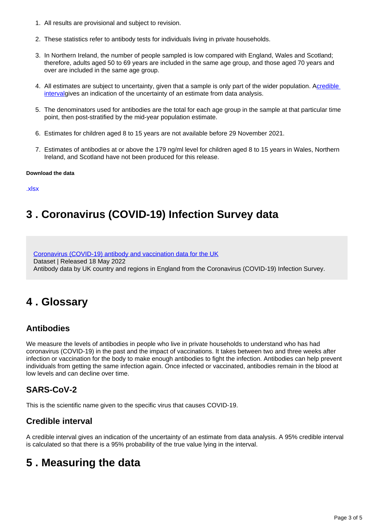- 1. All results are provisional and subject to revision.
- 2. These statistics refer to antibody tests for individuals living in private households.
- 3. In Northern Ireland, the number of people sampled is low compared with England, Wales and Scotland; therefore, adults aged 50 to 69 years are included in the same age group, and those aged 70 years and over are included in the same age group.
- 4. All estimates are subject to uncertainty, given that a sample is only part of the wider population. Acredible [interval](https://www.ons.gov.uk/peoplepopulationandcommunity/healthandsocialcare/conditionsanddiseases/bulletins/coronaviruscovid19infectionsurveyantibodyandvaccinationdatafortheuk/18may2022#glossary)gives an indication of the uncertainty of an estimate from data analysis.
- 5. The denominators used for antibodies are the total for each age group in the sample at that particular time point, then post-stratified by the mid-year population estimate.
- 6. Estimates for children aged 8 to 15 years are not available before 29 November 2021.
- 7. Estimates of antibodies at or above the 179 ng/ml level for children aged 8 to 15 years in Wales, Northern Ireland, and Scotland have not been produced for this release.

#### **Download the data**

[.xlsx](https://www.ons.gov.uk/visualisations/dvc1972/fig1/datadownload.xlsx)

## <span id="page-2-0"></span>**3 . Coronavirus (COVID-19) Infection Survey data**

[Coronavirus \(COVID-19\) antibody and vaccination data for the UK](https://www.ons.gov.uk/peoplepopulationandcommunity/healthandsocialcare/conditionsanddiseases/datasets/coronaviruscovid19antibodydatafortheuk) Dataset | Released 18 May 2022 Antibody data by UK country and regions in England from the Coronavirus (COVID-19) Infection Survey.

### <span id="page-2-1"></span>**4 . Glossary**

### **Antibodies**

We measure the levels of antibodies in people who live in private households to understand who has had coronavirus (COVID-19) in the past and the impact of vaccinations. It takes between two and three weeks after infection or vaccination for the body to make enough antibodies to fight the infection. Antibodies can help prevent individuals from getting the same infection again. Once infected or vaccinated, antibodies remain in the blood at low levels and can decline over time.

### **SARS-CoV-2**

This is the scientific name given to the specific virus that causes COVID-19.

### **Credible interval**

A credible interval gives an indication of the uncertainty of an estimate from data analysis. A 95% credible interval is calculated so that there is a 95% probability of the true value lying in the interval.

## <span id="page-2-2"></span>**5 . Measuring the data**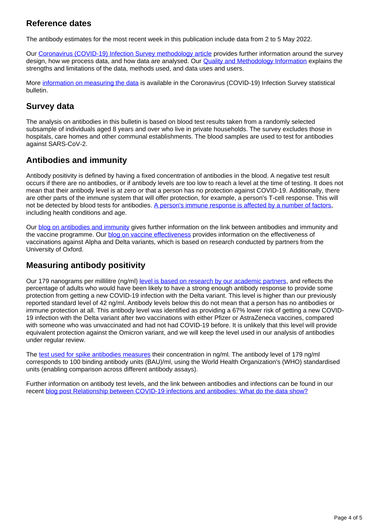#### **Reference dates**

The antibody estimates for the most recent week in this publication include data from 2 to 5 May 2022.

Our [Coronavirus \(COVID-19\) Infection Survey methodology article](https://www.ons.gov.uk/peoplepopulationandcommunity/healthandsocialcare/conditionsanddiseases/methodologies/covid19infectionsurveypilotmethodsandfurtherinformation) provides further information around the survey design, how we process data, and how data are analysed. Our **Quality and Methodology Information** explains the strengths and limitations of the data, methods used, and data uses and users.

More [information on measuring the data](https://www.ons.gov.uk/peoplepopulationandcommunity/healthandsocialcare/conditionsanddiseases/bulletins/coronaviruscovid19infectionsurveypilot/latest#measuring-the-data) is available in the Coronavirus (COVID-19) Infection Survey statistical bulletin.

### **Survey data**

The analysis on antibodies in this bulletin is based on blood test results taken from a randomly selected subsample of individuals aged 8 years and over who live in private households. The survey excludes those in hospitals, care homes and other communal establishments. The blood samples are used to test for antibodies against SARS-CoV-2.

### **Antibodies and immunity**

Antibody positivity is defined by having a fixed concentration of antibodies in the blood. A negative test result occurs if there are no antibodies, or if antibody levels are too low to reach a level at the time of testing. It does not mean that their antibody level is at zero or that a person has no protection against COVID-19. Additionally, there are other parts of the immune system that will offer protection, for example, a person's T-cell response. This will not be detected by blood tests for antibodies. [A person's immune response is affected by a number of factors,](https://www.immunology.org/news/ageing-and-covid-19-what-do-we-know-so-far) including health conditions and age.

Our [blog on antibodies and immunity](https://blog.ons.gov.uk/2021/04/28/antibodies-and-immunity-how-do-they-relate-to-one-another/) gives further information on the link between antibodies and immunity and the vaccine programme. Our **blog on vaccine effectiveness** provides information on the effectiveness of vaccinations against Alpha and Delta variants, which is based on research conducted by partners from the University of Oxford.

#### **Measuring antibody positivity**

Our 179 nanograms per millilitre (ng/ml) [level is based on research by our academic partners](https://www.medrxiv.org/content/10.1101/2021.09.13.21263487v2), and reflects the percentage of adults who would have been likely to have a strong enough antibody response to provide some protection from getting a new COVID-19 infection with the Delta variant. This level is higher than our previously reported standard level of 42 ng/ml. Antibody levels below this do not mean that a person has no antibodies or immune protection at all. This antibody level was identified as providing a 67% lower risk of getting a new COVID-19 infection with the Delta variant after two vaccinations with either Pfizer or AstraZeneca vaccines, compared with someone who was unvaccinated and had not had COVID-19 before. It is unlikely that this level will provide equivalent protection against the Omicron variant, and we will keep the level used in our analysis of antibodies under regular review.

The [test used for spike antibodies measures](https://www.thelancet.com/journals/lanmic/article/PIIS2666-5247(21)00266-4/fulltext) their concentration in ng/ml. The antibody level of 179 ng/ml corresponds to 100 binding antibody units (BAU)/ml, using the World Health Organization's (WHO) standardised units (enabling comparison across different antibody assays).

Further information on antibody test levels, and the link between antibodies and infections can be found in our recent [blog post Relationship between COVID-19 infections and antibodies: What do the data show?](https://blog.ons.gov.uk/2022/04/06/the-relationship-between-covid-19-infections-and-antibodies-what-do-the-data-show/)